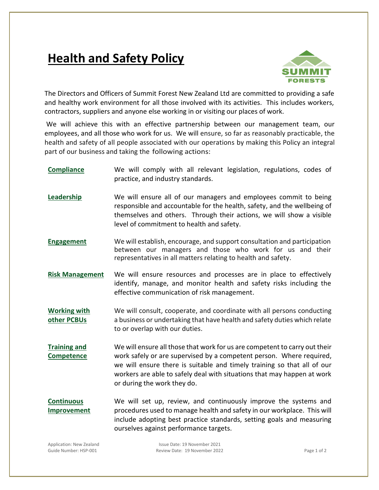## **Health and Safety Policy**



The Directors and Officers of Summit Forest New Zealand Ltd are committed to providing a safe and healthy work environment for all those involved with its activities. This includes workers, contractors, suppliers and anyone else working in or visiting our places of work.

We will achieve this with an effective partnership between our management team, our employees, and all those who work for us. We will ensure, so far as reasonably practicable, the health and safety of all people associated with our operations by making this Policy an integral part of our business and taking the following actions:

- **Compliance** We will comply with all relevant legislation, regulations, codes of practice, and industry standards.
- **Leadership** We will ensure all of our managers and employees commit to being responsible and accountable for the health, safety, and the wellbeing of themselves and others. Through their actions, we will show a visible level of commitment to health and safety.
- **Engagement** We will establish, encourage, and support consultation and participation between our managers and those who work for us and their representatives in all matters relating to health and safety.
- **Risk Management** We will ensure resources and processes are in place to effectively identify, manage, and monitor health and safety risks including the effective communication of risk management.
- **Working with other PCBUs** We will consult, cooperate, and coordinate with all persons conducting a business or undertaking that have health and safety duties which relate to or overlap with our duties.
- **Training and Competence** We will ensure all those that work for us are competent to carry out their work safely or are supervised by a competent person. Where required, we will ensure there is suitable and timely training so that all of our workers are able to safely deal with situations that may happen at work or during the work they do.
- **Continuous Improvement** We will set up, review, and continuously improve the systems and procedures used to manage health and safety in our workplace. This will include adopting best practice standards, setting goals and measuring ourselves against performance targets.

Application: New Zealand Issue Date: 19 November 2021 Guide Number: HSP-001 The Section of 2 Review Date: 19 November 2022 The Section of 2 Age 1 of 2